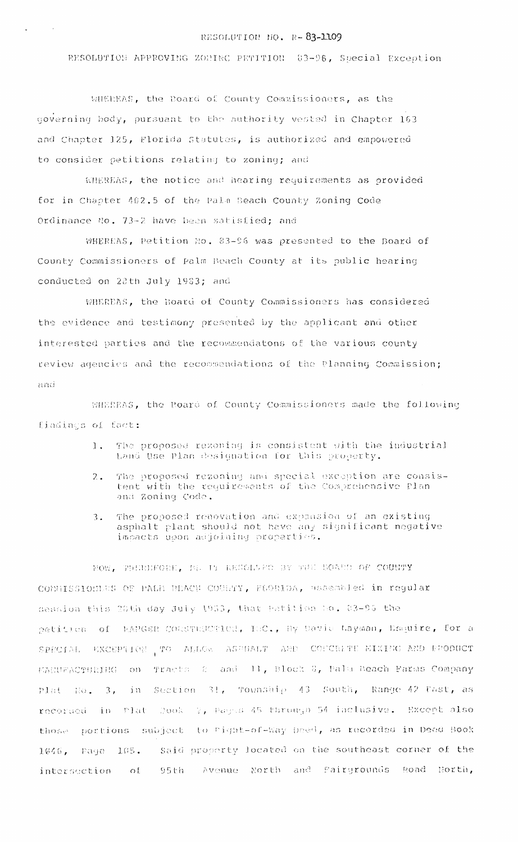## RESOLUTION NO. R-83-1109

RESOLUTION APPROVING ZONING PETITION 83-96, Special Exception

WHEREAS, the Board of County Commissioners, as the governing body, pursuant to the authority vested in Chapter 163 and Chapter 125, Florida Statutes, is authorized and empowered to consider petitions relating to zoning; and

WHEREAS, the notice and hearing requirements as provided for in Chapter 402.5 of the Pala Beach County Zoning Code Ordinance No. 73-2 have been satisfied; and

WHEREAS, Petition No. 83-96 was presented to the Board of County Commissioners of Palm Beach County at its public hearing conducted on 28th July 1983; and

WHEREAS, the Board of County Commissioners has considered the evidence and testimony presented by the applicant and other interested parties and the recommendatons of the various county review agencies and the recommendations of the Planning Commission; and

SHEREAS, the Roard of County Commissioners made the following findings of fact:

- The proposed rezoning is consistent with the industrial  $\mathbf{1}$ . Land Use Plan designation for this property.
- The proposed rezoning and special exception are consis- $2.$ tent with the requirements of the Comprehensive Plan and Zoning Code.
- The proposed renovation and expansion of an existing  $\overline{3}$ . asphalt plant should not have any significant negative impacts upon adjoining properties.

NOW. THERMFORE, BE IN RESOLVED BY THE BOATO OF COUNTY CONNISSIONERS OF PALM BEACH COURTY, FLORIDA, assembled in regular session this 20th day July 1933, that Patition No. 83-95 the petition of EANGER CONSTRUCTION, INC., By David Layman, Esquire, for a SPECIAL EXCEPTION TO ALLOW ASPHALT AND COFCEITE EIXING AND PRODUCT Tracts & and H, Block &, Palu Beach Farms Company MANUFACTURING OD in Section 31, Township 43 South, Range 42 Tast, as plat Ro.  $3<sub>t</sub>$ recorded in Plat Rook 2, Pagns 45 through 54 inclusive. Except also those portions subject to Pight-of-Way Deed, as recorded in Deed Book Said property located on the southeast corner of the  $1046$ , Page  $105$ . Avenue North and Pairgrounds Road North,  $95th$ intersection of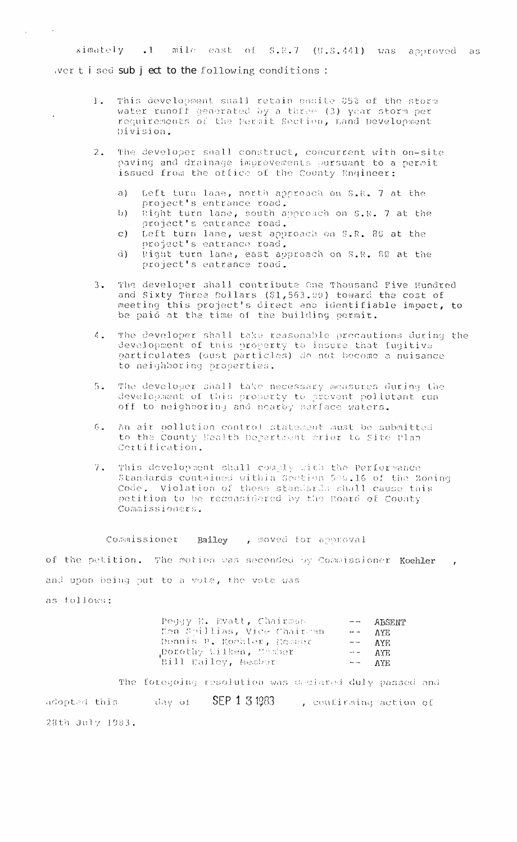ximately .1 mile east of S.R.7 (0.S.441) was approved as wert ised sub ject to the following conditions :

- This development shall retain onsite 85% of the storm<br>water runoff generated by a three (3) year storm per  $1.$ requirements of the Permit Section, Land Development Division.
- The developer shall construct, concurrent with on-site<br>paving and drainage improvements pursuant to a permit  $2.$ issued from the office of the County Engineer:
	- a) Left turn lane, north approach on S.R. 7 at the project's entrance road.
	- $b)$ Right turn lane, south approach on S.R. 7 at the project's entrance road.
	- Left turn lane, west approach on S.R. 80 at the  $\mathbf{C}$ ) project's entrance road.
	- $\overrightarrow{a}$ ) Right turn lane, east approach on S.R. 80 at the project's entrance road.
- The developer shall contribute One Thousand Five Hundred  $3.$ and Sixty Three Dollars (\$1,563.00) toward the cost of meeting this project's direct and identifiable impact, to be paid at the time of the building permit.
- The developer shall take reasonable precautions during the  $\mathcal{L}_{\mathbf{r}}$ development of this property to insure that fugitive particulates (dust particles) do not become a nuisance to neighboring properties.
- The developer shall take necessary measures during the  $5.$ development of this property to prevent poliutant run off to neighboring and nearby surface waters.
- An air pollution control statement must be submitted to the County Health Department crior to Site Plan  $6.$ Cortification.
- This development shall couply with the Performance 7. Standards contained within Section 599.16 of the Zoning<br>Code. Violation of these standards shall cause this petition to be reconsidered by the Board of County Commissioners.

## Commissioner Bailey , moved for approval

of the petition. The motion was seconded by Commissioner Koehler and upon being put to a vote, the vote was

as follows:

 $\sim 100$ 

 $\mathcal{A}^{\pm}$ 

| Peggy E. Evatt, Chairman    | $  ABSENT$         |
|-----------------------------|--------------------|
| Ken Spillias, Vice Chairman | $\leftarrow -$ AYE |
| Dennis P. Koohler, Masser   | $---$ AYE          |
| porothy Wilken, Homber      | $---$ AYE          |
| Bill Bailey, Member         | $---$ AYE          |

The foregoing resolution was declared duly passed and adopted this and day of SEP 1 3 1983 . confirming action of 28th July 1983.